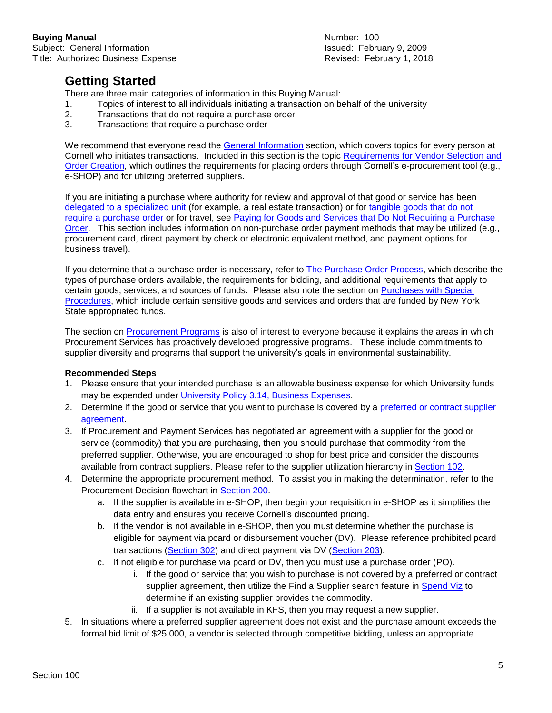## **Getting Started**

There are three main categories of information in this Buying Manual:

- 1. Topics of interest to all individuals initiating a transaction on behalf of the university
- 2. Transactions that do not require a purchase order
- 3. Transactions that require a purchase order

We recommend that everyone read the [General Information](https://www.dfa.cornell.edu/sites/default/files/bm-100-sections-general.pdf) section, which covers topics for every person at Cornell who initiates transactions. Included in this section is the topic [Requirements for Vendor](https://www.dfa.cornell.edu/sites/default/files/bm-section-102.pdf) Selection and [Order Creation,](https://www.dfa.cornell.edu/sites/default/files/bm-section-102.pdf) which outlines the requirements for placing orders through Cornell's e-procurement tool (e.g., e-SHOP) and for utilizing preferred suppliers.

If you are initiating a purchase where authority for review and approval of that good or service has been [delegated to a specialized unit](https://www.dfa.cornell.edu/sites/default/files/bm-section-201.pdf) (for example, a real estate transaction) or for [tangible goods that do not](https://www.dfa.cornell.edu/sites/default/files/bm-section-203.pdf)  [require a purchase order](https://www.dfa.cornell.edu/sites/default/files/bm-section-203.pdf) or for travel, see Paying for Goods and Services that Do Not [Requiring a Purchase](https://www.dfa.cornell.edu/sites/default/files/bm-200-sections-no-po.pdf)  [Order.](https://www.dfa.cornell.edu/sites/default/files/bm-200-sections-no-po.pdf) This section includes information on non-purchase order payment methods that may be utilized (e.g., procurement card, direct payment by check or electronic equivalent method, and payment options for business travel).

If you determine that a purchase order is necessary, refer to [The Purchase Order Process,](https://www.dfa.cornell.edu/sites/default/files/bm-400-sections-po.pdf) which describe the types of purchase orders available, the requirements for bidding, and additional requirements that apply to certain goods, services, and sources of funds. Please also note the section on [Purchases with Special](https://www.dfa.cornell.edu/sites/default/files/bm-600-sections-special.pdf)  [Procedures,](https://www.dfa.cornell.edu/sites/default/files/bm-600-sections-special.pdf) which include certain sensitive goods and services and orders that are funded by New York State appropriated funds.

The section on [Procurement](https://www.dfa.cornell.edu/sites/default/files/bm-500-sections-programs.pdf) Programs is also of interest to everyone because it explains the areas in which Procurement Services has proactively developed progressive programs. These include commitments to supplier diversity and programs that support the university's goals in environmental sustainability.

## **Recommended Steps**

- 1. Please ensure that your intended purchase is an allowable business expense for which University funds may be expended under [University Policy 3.14, Business Expenses.](https://www.dfa.cornell.edu/sites/default/files/policy/vol3_14.pdf)
- 2. Determine if the good or service that you want to purchase is covered by a [preferred or contract](https://www.dfa.cornell.edu/procurement/supplierlistview) supplier [agreement.](https://www.dfa.cornell.edu/procurement/supplierlistview)
- 3. If Procurement and Payment Services has negotiated an agreement with a supplier for the good or service (commodity) that you are purchasing, then you should purchase that commodity from the preferred supplier. Otherwise, you are encouraged to shop for best price and consider the discounts available from contract suppliers. Please refer to the supplier utilization hierarchy in [Section 102.](https://www.dfa.cornell.edu/sites/default/files/bm-section-102.pdf)
- 4. Determine the appropriate procurement method. To assist you in making the determination, refer to the Procurement Decision flowchart in [Section 200.](https://www.dfa.cornell.edu/sites/default/files/bm-section-200.pdf)
	- a. If the supplier is available in e-SHOP, then begin your requisition in e-SHOP as it simplifies the data entry and ensures you receive Cornell's discounted pricing.
	- b. If the vendor is not available in e-SHOP, then you must determine whether the purchase is eligible for payment via pcard or disbursement voucher (DV). Please reference prohibited pcard transactions [\(Section 302\)](https://www.dfa.cornell.edu/sites/default/files/bm-section-302.pdf) and direct payment via DV [\(Section 203\)](https://www.dfa.cornell.edu/sites/default/files/bm-section-203.pdf).
	- c. If not eligible for purchase via pcard or DV, then you must use a purchase order (PO).
		- i. If the good or service that you wish to purchase is not covered by a preferred or contract supplier agreement, then utilize the Find a Supplier search feature in [Spend Viz](http://spendviz.dfa.cornell.edu/kfs/VendorSearch.aspx) to determine if an existing supplier provides the commodity.
		- ii. If a supplier is not available in KFS, then you may request a new supplier.
- 5. In situations where a preferred supplier agreement does not exist and the purchase amount exceeds the formal bid limit of \$25,000, a vendor is selected through competitive bidding, unless an appropriate